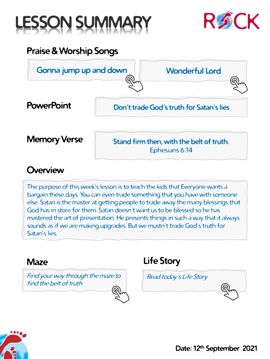



### **Praise & Worship Songs**



#### **Overview**

**The purpose of this week's lesson is to teach the kids that Everyone wants a bargain these days. You can even trade something that you have with someone else. Satan is the master at getting people to trade away the many blessings that God has in store for them. Satan doesn't want us to be blessed so he has mastered the art of presentation. He presents things in such a way that it always sounds as if we are making upgrades. But we mustn't trade God's truth for Satan's lies.**

#### **Maze**

**[Find your](#page-1-0) way through the maze to find the belt of truth**

## **[Read today's Life Story](#page-2-0) Life Story**

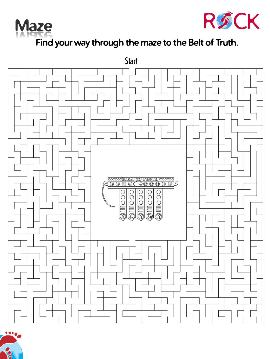<span id="page-1-0"></span>



## **Find your way through the maze to the Belt of Truth.**



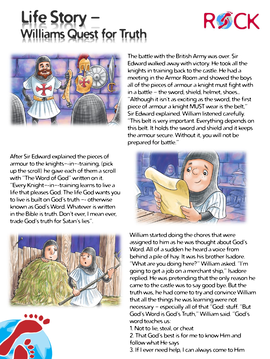# <span id="page-2-0"></span>**Life Story – Williams Quest for Truth**





**After Sir Edward explained the pieces of armour to the knights-**‐**in-**‐**training, (pick up the scroll) he gave each of them a scroll with "The Word of God" written on it. "Every Knight-**‐**in-**‐**training learns to live a life that pleases God. The life God wants you to live is built on God's truth -**‐ **otherwise known as God's Word. Whatever is written in the Bible is truth. Don't ever, I mean ever, trade God's truth for Satan's lies".**





**The battle with the British Army was over. Sir Edward walked away with victory. He took all the knights in training back to the castle. He had a meeting in the Armor Room and showed the boys all of the pieces of armour a knight must fight with in a battle – the sword, shield, helmet, shoes… "Although it isn't as exciting as the sword, the first piece of armour a knight MUST wear is the belt," Sir Edward explained. William listened carefully. "This belt is very important. Everything depends on this belt. It holds the sword and shield and it keeps the armour secure. Without it, you will not be prepared for battle."**



**William started doing the chores that were assigned to him as he was thought about God's Word. All of a sudden he heard a voice from behind a pile of hay. It was his brother Isadore. "What are you doing here?" William asked. "I'm going to get a job on a merchant ship," Isadore replied. He was pretending that the only reason he came to the castle was to say good bye. But the truth was, he had come to try and convince William that all the things he was learning were not necessary - especially all of that "God: stuff. "But God's Word is God's Truth," William said. "God's word teaches us:**

**1. Not to lie, steal, or cheat**

**2. That God's best is for me to know Him and follow what He says**

**3. If I ever need help, I can always come to Him**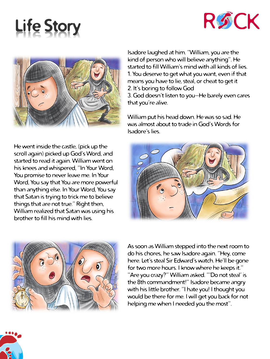





**He went inside the castle, (pick up the scroll again) picked up God's Word, and started to read it again. William went on his knees and whispered, "In Your Word, You promise to never leave me. In Your Word, You say that You are more powerful than anything else. In Your Word, You say that Satan is trying to trick me to believe things that are not true." Right then, William realized that Satan was using his brother to fill his mind with lies.**

**Isadore laughed at him. "William, you are the kind of person who will believe anything". He started to fill William's mind with all kinds of lies. 1. You deserve to get what you want, even if that means you have to lie, steal, or cheat to get it 2. It's boring to follow God**

**3. God doesn't listen to you—He barely even cares that you're alive.**

**William put his head down. He was so sad. He was almost about to trade in God's Words for Isadore's lies.**





**As soon as William stepped into the next room to do his chores, he saw Isadore again. "Hey, come here. Let's steal Sir Edward's watch. He'll be gone for two more hours. I know where he keeps it." "Are you crazy?" William asked. "'Do not steal' is the 8th commandment!" Isadore became angry with his little brother. "I hate you! I thought you would be there for me. I will get you back for not helping me when I needed you the most".**